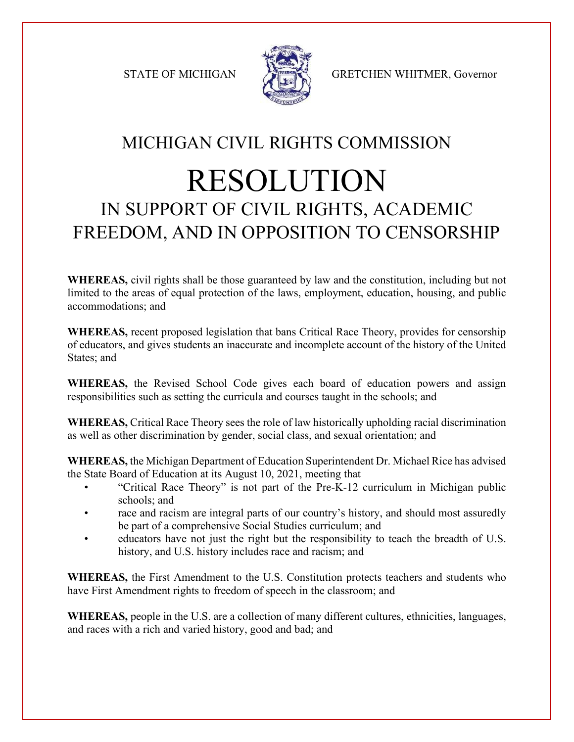

STATE OF MICHIGAN STATE GRETCHEN WHITMER, Governor

## MICHIGAN CIVIL RIGHTS COMMISSION RESOLUTION IN SUPPORT OF CIVIL RIGHTS, ACADEMIC FREEDOM, AND IN OPPOSITION TO CENSORSHIP

**WHEREAS,** civil rights shall be those guaranteed by law and the constitution, including but not limited to the areas of equal protection of the laws, employment, education, housing, and public accommodations; and

**WHEREAS,** recent proposed legislation that bans Critical Race Theory, provides for censorship of educators, and gives students an inaccurate and incomplete account of the history of the United States; and

**WHEREAS,** the Revised School Code gives each board of education powers and assign responsibilities such as setting the curricula and courses taught in the schools; and

**WHEREAS,** Critical Race Theory sees the role of law historically upholding racial discrimination as well as other discrimination by gender, social class, and sexual orientation; and

**WHEREAS,** the Michigan Department of Education Superintendent Dr. Michael Rice has advised the State Board of Education at its August 10, 2021, meeting that

- "Critical Race Theory" is not part of the Pre-K-12 curriculum in Michigan public schools; and
- race and racism are integral parts of our country's history, and should most assuredly be part of a comprehensive Social Studies curriculum; and
- educators have not just the right but the responsibility to teach the breadth of U.S. history, and U.S. history includes race and racism; and

**WHEREAS,** the First Amendment to the U.S. Constitution protects teachers and students who have First Amendment rights to freedom of speech in the classroom; and

**WHEREAS,** people in the U.S. are a collection of many different cultures, ethnicities, languages, and races with a rich and varied history, good and bad; and